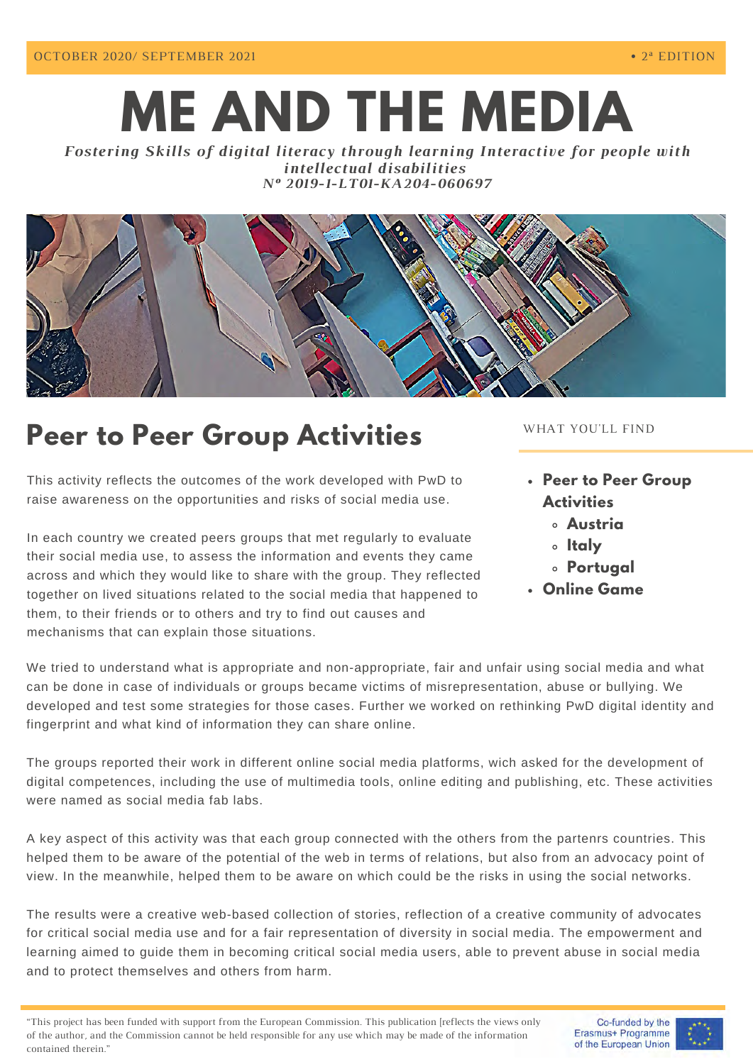# **ME AND THE MEDIA**

*Fostering Skills of digital literacy through learning Interactive for people with intellectual disabilities Nº 2019-1-LT01-KA204-060697*



# **Peer to Peer Group Activities**

This activity reflects the outcomes of the work developed with PwD to raise awareness on the opportunities and risks of social media use.

In each country we created peers groups that met regularly to evaluate their social media use, to assess the information and events they came across and which they would like to share with the group. They reflected together on lived situations related to the social media that happened to them, to their friends or to others and try to find out causes and mechanisms that can explain those situations.

#### WHAT YOU'LL FIND

- **Peer to Peer Group Activities**
	- **Austria**
	- **Italy**
	- **Portugal**
- **Online Game**

We tried to understand what is appropriate and non-appropriate, fair and unfair using social media and what can be done in case of individuals or groups became victims of misrepresentation, abuse or bullying. We developed and test some strategies for those cases. Further we worked on rethinking PwD digital identity and fingerprint and what kind of information they can share online.

The groups reported their work in different online social media platforms, wich asked for the development of digital competences, including the use of multimedia tools, online editing and publishing, etc. These activities were named as social media fab labs.

A key aspect of this activity was that each group connected with the others from the partenrs countries. This helped them to be aware of the potential of the web in terms of relations, but also from an advocacy point of view. In the meanwhile, helped them to be aware on which could be the risks in using the social networks.

The results were a creative web-based collection of stories, reflection of a creative community of advocates for critical social media use and for a fair representation of diversity in social media. The empowerment and learning aimed to guide them in becoming critical social media users, able to prevent abuse in social media and to protect themselves and others from harm.

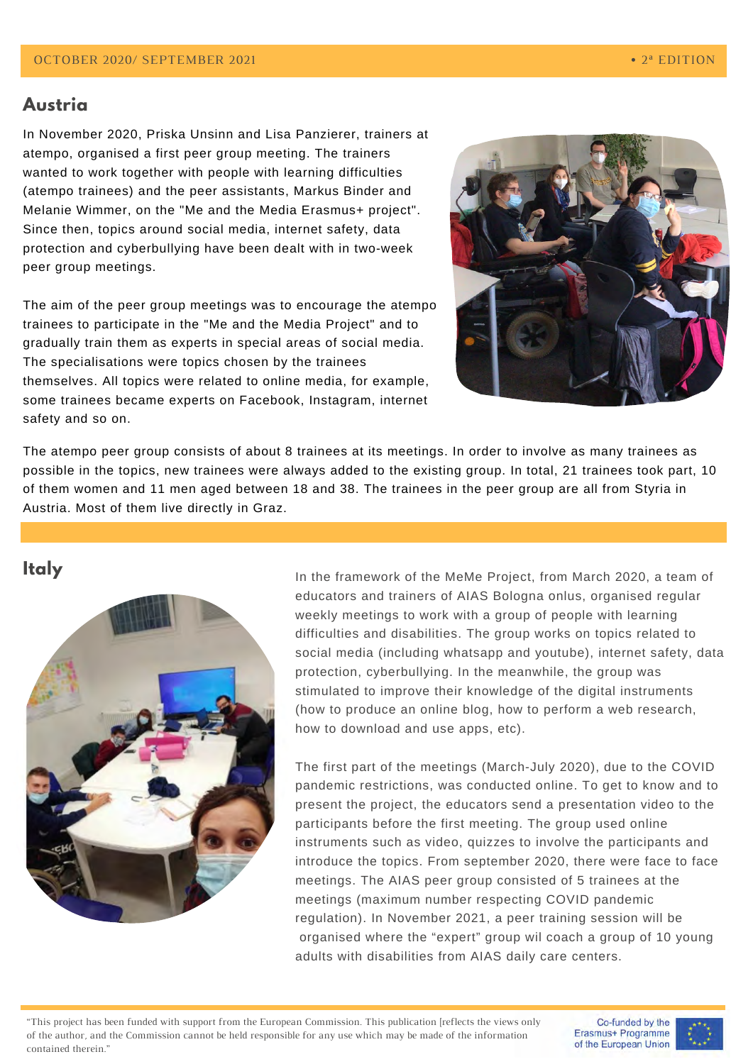#### **Austria**

In November 2020, Priska Unsinn and Lisa Panzierer, trainers at atempo, organised a first peer group meeting. The trainers wanted to work together with people with learning difficulties (atempo trainees) and the peer assistants, Markus Binder and Melanie Wimmer, on the "Me and the Media Erasmus+ project". Since then, topics around social media, internet safety, data protection and cyberbullying have been dealt with in two-week peer group meetings.

The aim of the peer group meetings was to encourage the atempo trainees to participate in the "Me and the Media Project" and to gradually train them as experts in special areas of social media. The specialisations were topics chosen by the trainees themselves. All topics were related to online media, for example, some trainees became experts on Facebook, Instagram, internet safety and so on.



The atempo peer group consists of about 8 trainees at its meetings. In order to involve as many trainees as possible in the topics, new trainees were always added to the existing group. In total, 21 trainees took part, 10 of them women and 11 men aged between 18 and 38. The trainees in the peer group are all from Styria in Austria. Most of them live directly in Graz.

### **Italy**



In the framework of the MeMe Project, from March 2020, a team of educators and trainers of AIAS Bologna onlus, organised regular weekly meetings to work with a group of people with learning difficulties and disabilities. The group works on topics related to social media (including whatsapp and youtube), internet safety, data protection, cyberbullying. In the meanwhile, the group was stimulated to improve their knowledge of the digital instruments (how to produce an online blog, how to perform a web research, how to download and use apps, etc).

The first part of the meetings (March-July 2020), due to the COVID pandemic restrictions, was conducted online. To get to know and to present the project, the educators send a presentation video to the participants before the first meeting. The group used online instruments such as video, quizzes to involve the participants and introduce the topics. From september 2020, there were face to face meetings. The AIAS peer group consisted of 5 trainees at the meetings (maximum number respecting COVID pandemic regulation). In November 2021, a peer training session will be organised where the "expert" group wil coach a group of 10 young adults with disabilities from AIAS daily care centers.